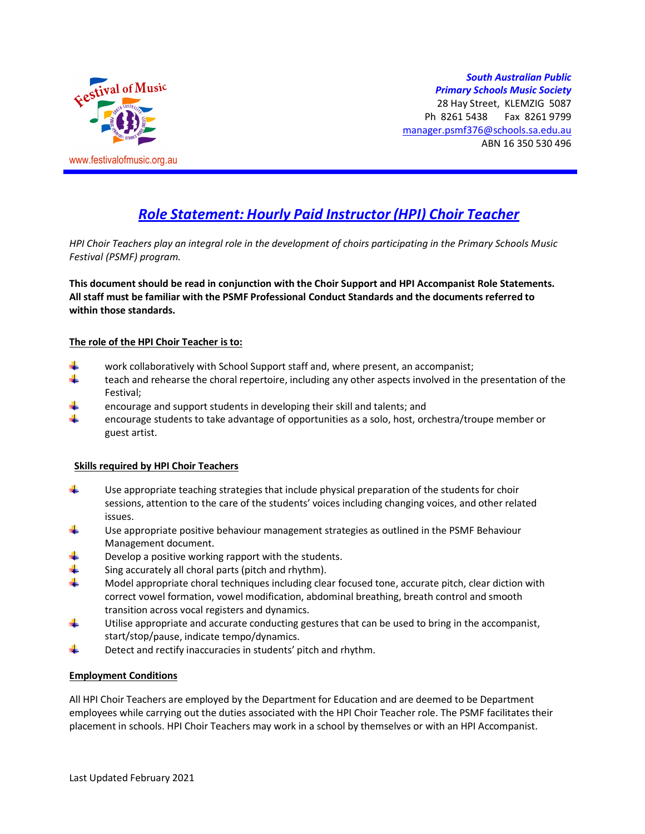

*South Australian Public Primary Schools Music Society* 28 Hay Street, KLEMZIG 5087 Ph 8261 5438 Fax 8261 9799 manager.psmf376@schools.sa.edu.au ABN 16 350 530 496

# *Role Statement: Hourly Paid Instructor (HPI) Choir Teacher*

*HPI Choir Teachers play an integral role in the development of choirs participating in the Primary Schools Music Festival (PSMF) program.* 

**This document should be read in conjunction with the Choir Support and HPI Accompanist Role Statements. All staff must be familiar with the PSMF Professional Conduct Standards and the documents referred to within those standards.** 

#### **The role of the HPI Choir Teacher is to:**

- work collaboratively with School Support staff and, where present, an accompanist;
- ÷. teach and rehearse the choral repertoire, including any other aspects involved in the presentation of the Festival;
- encourage and support students in developing their skill and talents; and
- encourage students to take advantage of opportunities as a solo, host, orchestra/troupe member or guest artist.

## **Skills required by HPI Choir Teachers**

- ÷ Use appropriate teaching strategies that include physical preparation of the students for choir sessions, attention to the care of the students' voices including changing voices, and other related issues.
- Use appropriate positive behaviour management strategies as outlined in the PSMF Behaviour Management document.
- Develop a positive working rapport with the students.
- Sing accurately all choral parts (pitch and rhythm).
- Model appropriate choral techniques including clear focused tone, accurate pitch, clear diction with correct vowel formation, vowel modification, abdominal breathing, breath control and smooth transition across vocal registers and dynamics.
- ÷ Utilise appropriate and accurate conducting gestures that can be used to bring in the accompanist, start/stop/pause, indicate tempo/dynamics.
- 4 Detect and rectify inaccuracies in students' pitch and rhythm.

#### **Employment Conditions**

All HPI Choir Teachers are employed by the Department for Education and are deemed to be Department employees while carrying out the duties associated with the HPI Choir Teacher role. The PSMF facilitates their placement in schools. HPI Choir Teachers may work in a school by themselves or with an HPI Accompanist.